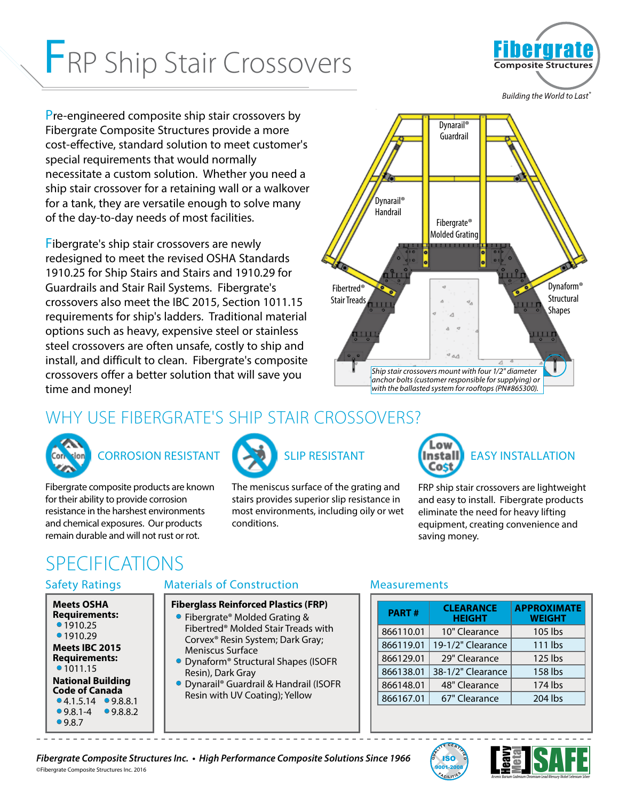# FRP Ship Stair Crossovers



Pre-engineered composite ship stair crossovers by Fibergrate Composite Structures provide a more cost-effective, standard solution to meet customer's special requirements that would normally necessitate a custom solution. Whether you need a ship stair crossover for a retaining wall or a walkover for a tank, they are versatile enough to solve many of the day-to-day needs of most facilities.

Fibergrate's ship stair crossovers are newly redesigned to meet the revised OSHA Standards 1910.25 for Ship Stairs and Stairs and 1910.29 for Guardrails and Stair Rail Systems. Fibergrate's crossovers also meet the IBC 2015, Section 1011.15 requirements for ship's ladders. Traditional material options such as heavy, expensive steel or stainless steel crossovers are often unsafe, costly to ship and install, and difficult to clean. Fibergrate's composite crossovers offer a better solution that will save you time and money!



# WHY USE FIBERGRATE'S SHIP STAIR CROSSOVERS?



# CORROSION RESISTANT

Fibergrate composite products are known for their ability to provide corrosion resistance in the harshest environments and chemical exposures. Our products remain durable and will not rust or rot.



The meniscus surface of the grating and stairs provides superior slip resistance in most environments, including oily or wet conditions.

- - - - - - - - - - - - - - - - - - - - - - - - - - - - - - - - - - - - - - - - - - - - - - - - - - - - - - - - - - - - - - - - - - - - - - - - - - - -



FRP ship stair crossovers are lightweight and easy to install. Fibergrate products eliminate the need for heavy lifting equipment, creating convenience and saving money.

# SPECIFICATIONS

#### Safety Ratings

| <b>Meets OSHA</b><br><b>Requirements:</b><br>•1910.25 |        |  |
|-------------------------------------------------------|--------|--|
| ●1910.29                                              |        |  |
| Meets IBC 2015<br>Requirements:<br>•1011.15           |        |  |
| <b>National Building</b>                              |        |  |
| <b>Code of Canada</b>                                 |        |  |
| $\bullet$ 4.1.5.14 $\bullet$ 9.8.8.1                  |        |  |
| $98.1 - 4$                                            | 98.8.2 |  |
| 09.8.7                                                |        |  |

#### Materials of Construction

#### **Fiberglass Reinforced Plastics (FRP)**

- Fibergrate® Molded Grating & Fibertred® Molded Stair Treads with Corvex® Resin System; Dark Gray; Meniscus Surface
- Dynaform® Structural Shapes (ISOFR Resin), Dark Gray
- Dynarail® Guardrail & Handrail (ISOFR Resin with UV Coating); Yellow

#### **Measurements**

| <b>PART#</b> | <b>CLEARANCE</b><br><b>HEIGHT</b> | <b>APPROXIMATE</b><br><b>WEIGHT</b> |
|--------------|-----------------------------------|-------------------------------------|
| 866110.01    | 10" Clearance                     | 105 lbs                             |
| 866119.01    | 19-1/2" Clearance                 | 111 lbs                             |
| 866129.01    | 29" Clearance                     | $125$ lbs                           |
| 866138.01    | 38-1/2" Clearance                 | 158 lbs                             |
| 866148.01    | 48" Clearance                     | 174 lbs                             |
| 866167.01    | 67" Clearance                     | 204 lbs                             |



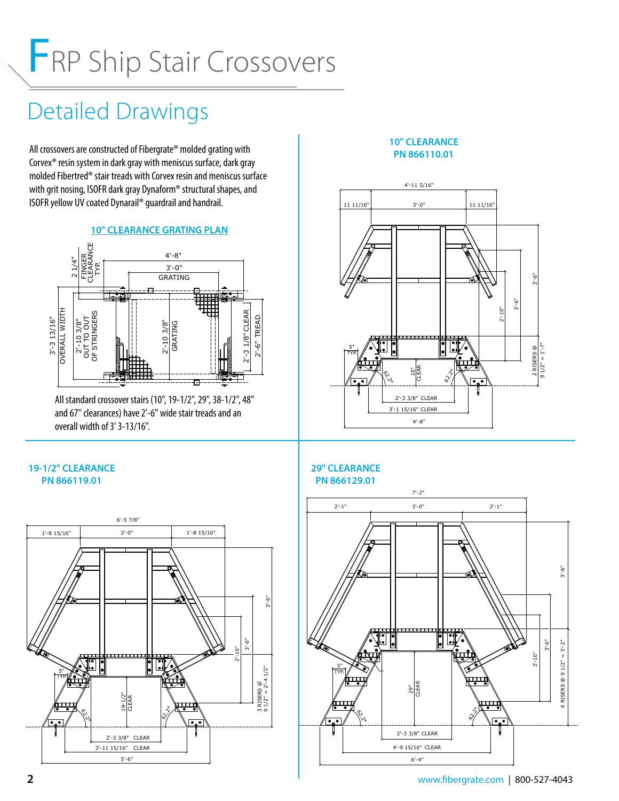# FRP Ship Stair Crossovers

# Detailed Drawings

All crossovers are constructed of Fibergrate® molded grating with Corvex® resin system in dark gray with meniscus surface, dark gray molded Fibertred® stair treads with Corvex resin and meniscus surface with grit nosing, ISOFR dark gray Dynaform® structural shapes, and ISOFR yellow UV coated Dynarail® guardrail and handrail.

#### **10" CLEARANCE GRATING PLAN**



All standard crossover stairs (10", 19-1/2", 29", 38-1/2", 48" and 67" clearances) have 2'-6" wide stair treads and an overall width of 3' 3-13/16".

#### **10" CLEARANCE PN 866110.01**



#### **19-1/2" CLEARANCE PN 866119.01**



#### **29" CLEARANCE PN 866129.01**

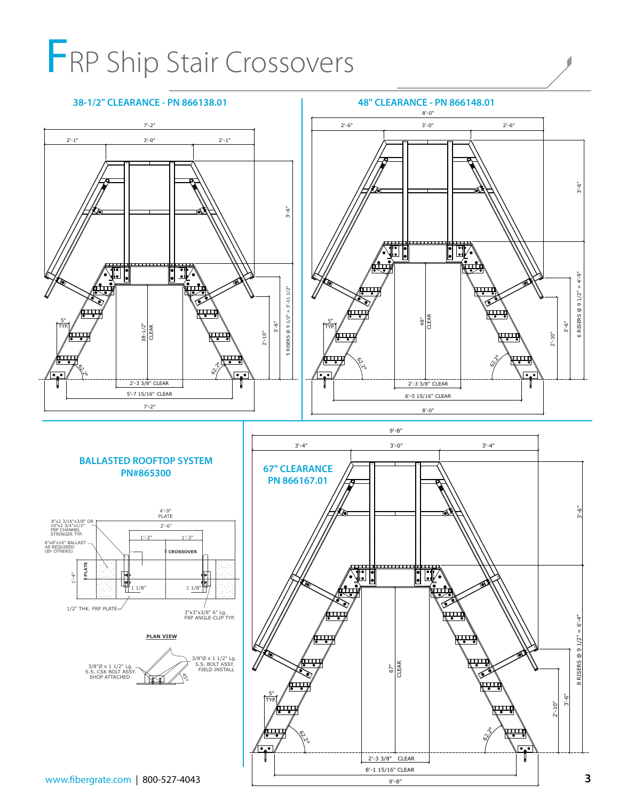# FRP Ship Stair Crossovers